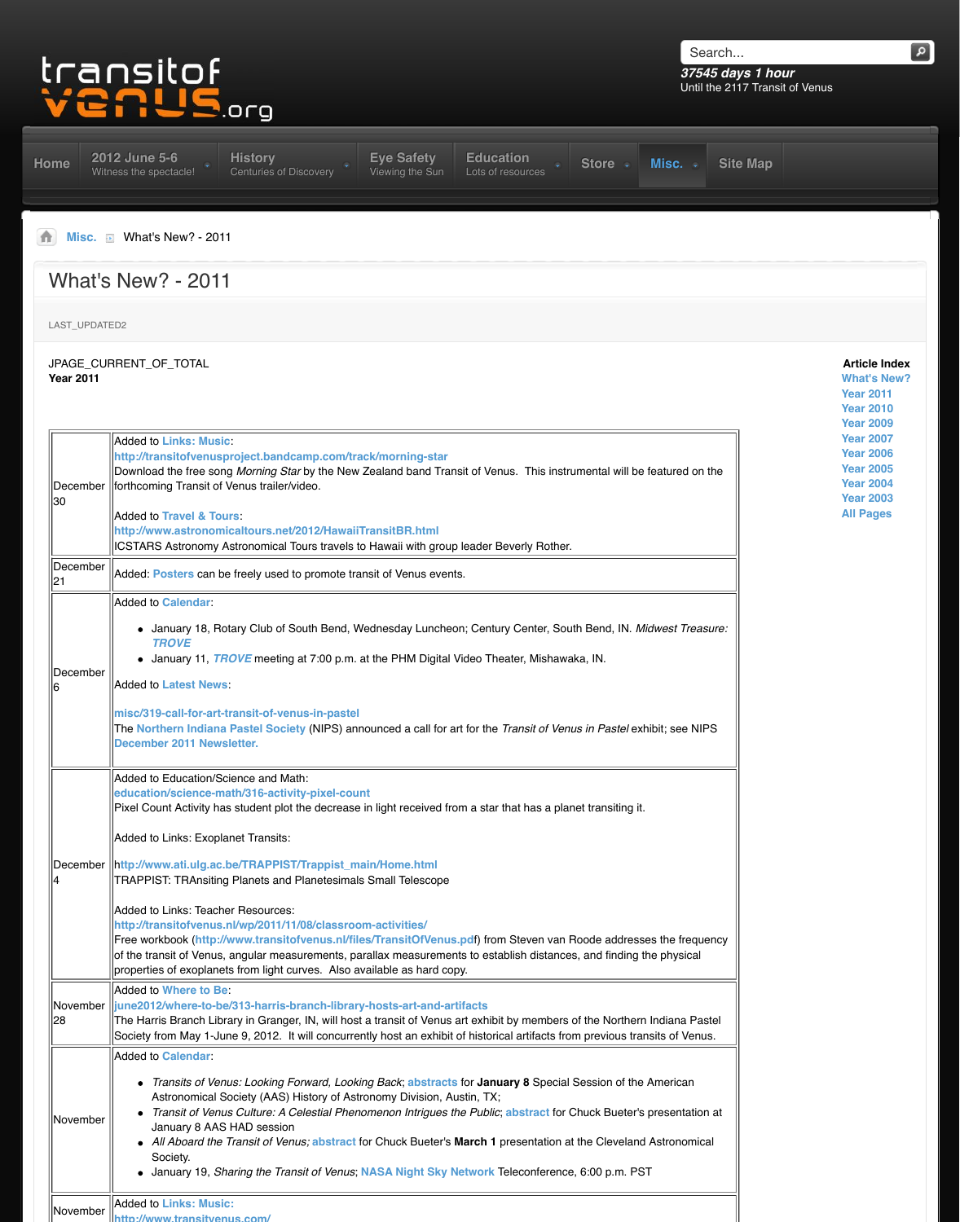| 30              | December   forthcoming Transit of Venus trailer/video.                                                                                                                                                                                                                                                                                                                                                                                                                                                                                                                                                                                                                                                                                                          |
|-----------------|-----------------------------------------------------------------------------------------------------------------------------------------------------------------------------------------------------------------------------------------------------------------------------------------------------------------------------------------------------------------------------------------------------------------------------------------------------------------------------------------------------------------------------------------------------------------------------------------------------------------------------------------------------------------------------------------------------------------------------------------------------------------|
|                 | Added to Travel & Tours:<br>http://www.astronomicaltours.net/2012/HawaiiTransitBR.html<br> ICSTARS Astronomy Astronomical Tours travels to Hawaii with group leader Beverly Rother.                                                                                                                                                                                                                                                                                                                                                                                                                                                                                                                                                                             |
| December<br> 21 | Added: Posters can be freely used to promote transit of Venus events.                                                                                                                                                                                                                                                                                                                                                                                                                                                                                                                                                                                                                                                                                           |
| December<br>16  | <b>Added to Calendar:</b><br>• January 18, Rotary Club of South Bend, Wednesday Luncheon; Century Center, Sou<br><b>TROVE</b><br>• January 11, TROVE meeting at 7:00 p.m. at the PHM Digital Video Theater, Mishawa<br>Added to Latest News:<br>misc/319-call-for-art-transit-of-venus-in-pastel<br>The Northern Indiana Pastel Society (NIPS) announced a call for art for the Transit of Vent<br>December 2011 Newsletter.                                                                                                                                                                                                                                                                                                                                    |
|                 | Added to Education/Science and Math:<br>education/science-math/316-activity-pixel-count<br>Pixel Count Activity has student plot the decrease in light received from a star that has a plar<br>Added to Links: Exoplanet Transits:<br>December   http://www.ati.ulg.ac.be/TRAPPIST/Trappist_main/Home.html<br><b>TRAPPIST: TRAnsiting Planets and Planetesimals Small Telescope</b><br>Added to Links: Teacher Resources:<br>http://transitofvenus.nl/wp/2011/11/08/classroom-activities/<br>Free workbook (http://www.transitofvenus.nl/files/TransitOfVenus.pdf) from Steven van F<br>of the transit of Venus, angular measurements, parallax measurements to establish distance:<br>properties of exoplanets from light curves. Also available as hard copy. |
| 28              | Added to Where to Be:<br>November   june2012/where-to-be/313-harris-branch-library-hosts-art-and-artifacts<br>The Harris Branch Library in Granger, IN, will host a transit of Venus art exhibit by members<br>Society from May 1-June 9, 2012. It will concurrently host an exhibit of historical artifacts fro                                                                                                                                                                                                                                                                                                                                                                                                                                                |
| November        | Added to <b>Calendar</b> :<br>Transits of Venus: Looking Forward, Looking Back, abstracts for January 8 Special<br>Astronomical Society (AAS) History of Astronomy Division, Austin, TX;<br>Transit of Venus Culture: A Celestial Phenomenon Intrigues the Public, abstract for Q<br>January 8 AAS HAD session<br>All Aboard the Transit of Venus; abstract for Chuck Bueter's March 1 presentation at<br>Society.<br>January 19, Sharing the Transit of Venus; NASA Night Sky Network Teleconference                                                                                                                                                                                                                                                           |
| November        | <b>Added to Links: Music:</b><br>http://www.transityenus.com/                                                                                                                                                                                                                                                                                                                                                                                                                                                                                                                                                                                                                                                                                                   |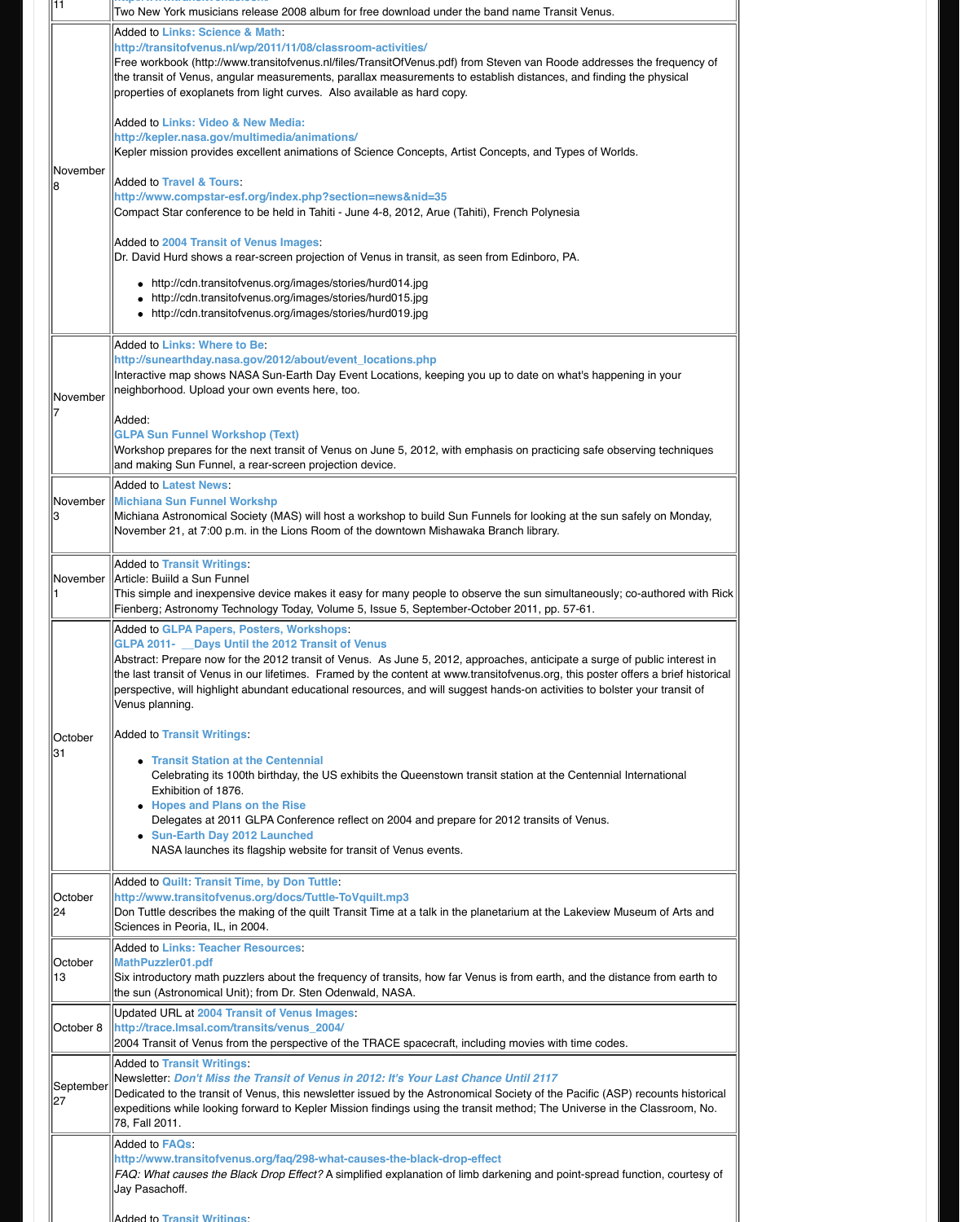| November             | Added to Latest News<br>Michiana Sun Funnel Workshp<br>Michiana Astronomical Society (MAS) will host a workshop to build Sun Funnels for looking a<br>November 21, at 7:00 p.m. in the Lions Room of the downtown Mishawaka Branch library.                                                                                                                                                                                  |
|----------------------|------------------------------------------------------------------------------------------------------------------------------------------------------------------------------------------------------------------------------------------------------------------------------------------------------------------------------------------------------------------------------------------------------------------------------|
| November             | <b>Added to Transit Writings</b><br>Article: Buiild a Sun Funnel<br>This simple and inexpensive device makes it easy for many people to observe the sun simult<br>Fienberg; Astronomy Technology Today, Volume 5, Issue 5, September-October 2011, pp. 57                                                                                                                                                                    |
|                      | <b>Added to GLPA Papers, Posters, Workshops:</b><br>GLPA 2011- _ Days Until the 2012 Transit of Venus<br>Abstract: Prepare now for the 2012 transit of Venus. As June 5, 2012, approaches, anticipat<br>the last transit of Venus in our lifetimes. Framed by the content at www.transitofvenus.org, th<br>perspective, will highlight abundant educational resources, and will suggest hands-on activiti<br>Venus planning. |
| <b>October</b><br>31 | <b>Added to Transit Writings:</b><br><b>Transit Station at the Centennial</b><br>Celebrating its 100th birthday, the US exhibits the Queenstown transit station at the Q<br>Exhibition of 1876.<br>• Hopes and Plans on the Rise<br>Delegates at 2011 GLPA Conference reflect on 2004 and prepare for 2012 transits of<br>• Sun-Earth Day 2012 Launched<br>NASA launches its flagship website for transit of Venus events.   |
| <b>October</b><br>24 | Added to Quilt: Transit Time, by Don Tuttle<br>http://www.transitofvenus.org/docs/Tuttle-ToVquilt.mp3<br>Don Tuttle describes the making of the quilt Transit Time at a talk in the planetarium at the La<br>Sciences in Peoria, IL, in 2004.                                                                                                                                                                                |
| October<br>13        | Added to Links: Teacher Resources:<br>MathPuzzler01.pdf<br>Six introductory math puzzlers about the frequency of transits, how far Venus is from earth, a<br>the sun (Astronomical Unit); from Dr. Sten Odenwald, NASA.                                                                                                                                                                                                      |
| October 8            | Updated URL at 2004 Transit of Venus Images<br>http://trace.lmsal.com/transits/venus_2004/<br>2004 Transit of Venus from the perspective of the TRACE spacecraft, including movies with t                                                                                                                                                                                                                                    |
| September<br>27      | <b>Added to Transit Writings:</b><br>Newsletter: Don't Miss the Transit of Venus in 2012: It's Your Last Chance Until 2117<br>Dedicated to the transit of Venus, this newsletter issued by the Astronomical Society of the P<br>expeditions while looking forward to Kepler Mission findings using the transit method; The Ur<br>78, Fall 2011.                                                                              |
|                      | Added to <b>FAQs</b> :<br>http://www.transitofvenus.org/faq/298-what-causes-the-black-drop-effect<br>FAQ: What causes the Black Drop Effect? A simplified explanation of limb darkening and poil<br>Jay Pasachoff.                                                                                                                                                                                                           |
|                      | <b>Added to Transit Writings:</b>                                                                                                                                                                                                                                                                                                                                                                                            |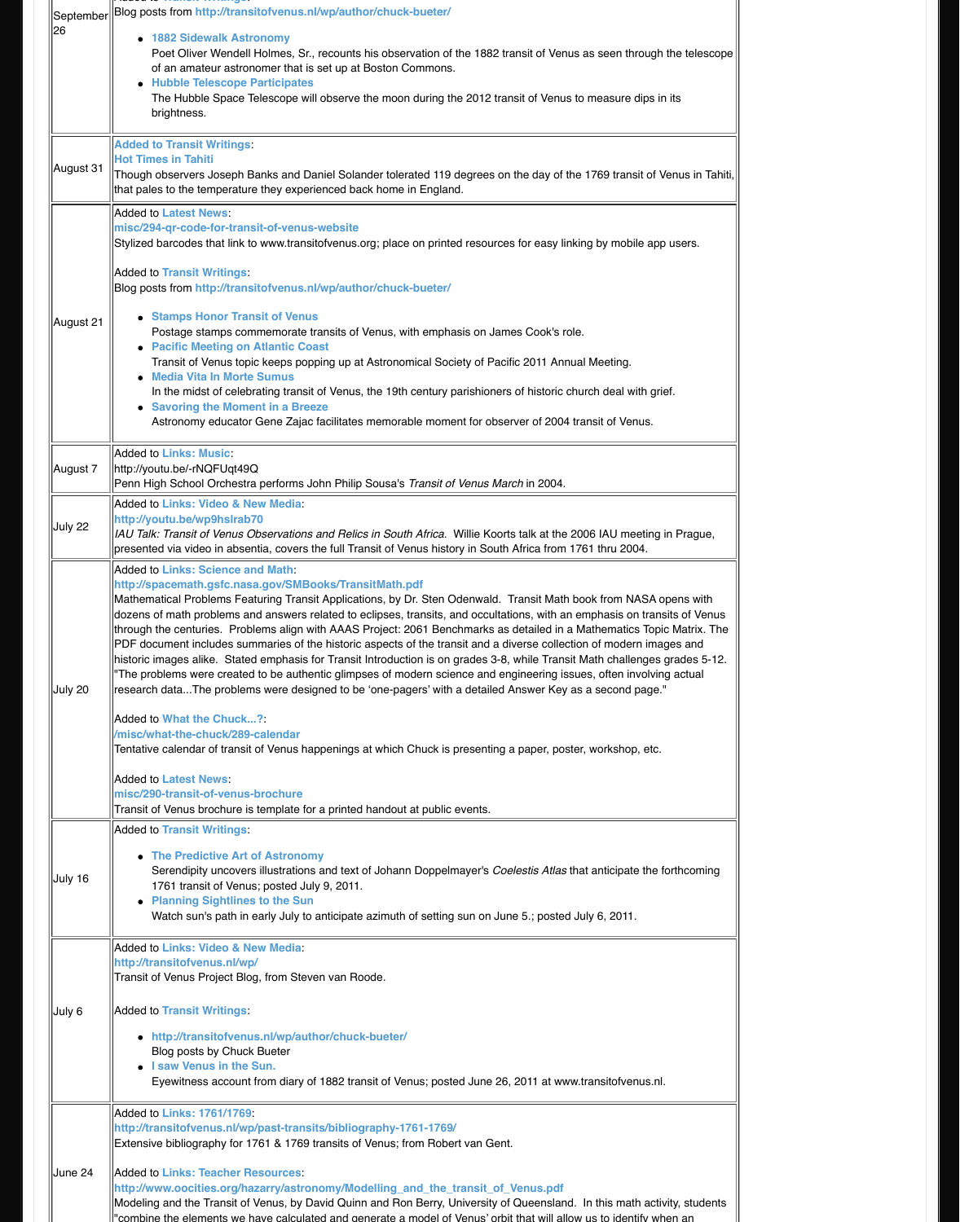|  |         | Penn High School Orchestra performs John Philip Sousa's <i>Transit of Venus March</i> in 2004.                                                                                                    |
|--|---------|---------------------------------------------------------------------------------------------------------------------------------------------------------------------------------------------------|
|  |         | <b>Added to Links: Video &amp; New Media:</b>                                                                                                                                                     |
|  | July 22 | http://youtu.be/wp9hsIrab70                                                                                                                                                                       |
|  |         | IAU Talk: Transit of Venus Observations and Relics in South Africa. Willie Koorts talk at the 1<br>presented via video in absentia, covers the full Transit of Venus history in South Africa from |
|  |         | <b>Added to Links: Science and Math.</b>                                                                                                                                                          |
|  |         | http://spacemath.gsfc.nasa.gov/SMBooks/TransitMath.pdf<br>Mathematical Problems Featuring Transit Applications, by Dr. Sten Odenwald. Transit Math                                                |
|  |         | dozens of math problems and answers related to eclipses, transits, and occultations, with an                                                                                                      |
|  |         | through the centuries. Problems align with AAAS Project: 2061 Benchmarks as detailed in a                                                                                                         |
|  |         | PDF document includes summaries of the historic aspects of the transit and a diverse collect                                                                                                      |
|  |         | historic images alike. Stated emphasis for Transit Introduction is on grades 3-8, while Transi                                                                                                    |
|  | July 20 | "The problems were created to be authentic glimpses of modern science and engineering iss<br>research dataThe problems were designed to be 'one-pagers' with a detailed Answer Key a              |
|  |         | Added to What the Chuck?                                                                                                                                                                          |
|  |         | /misc/what-the-chuck/289-calendar                                                                                                                                                                 |
|  |         | Tentative calendar of transit of Venus happenings at which Chuck is presenting a paper, post                                                                                                      |
|  |         | <b>Added to Latest News:</b>                                                                                                                                                                      |
|  |         | misc/290-transit-of-venus-brochure                                                                                                                                                                |
|  |         | Transit of Venus brochure is template for a printed handout at public events.                                                                                                                     |
|  |         | <b>Added to Transit Writings:</b>                                                                                                                                                                 |
|  |         | • The Predictive Art of Astronomy                                                                                                                                                                 |
|  | July 16 | Serendipity uncovers illustrations and text of Johann Doppelmayer's Coelestis Atlas t                                                                                                             |
|  |         | 1761 transit of Venus; posted July 9, 2011.<br>• Planning Sightlines to the Sun                                                                                                                   |
|  |         | Watch sun's path in early July to anticipate azimuth of setting sun on June 5.; posted                                                                                                            |
|  |         |                                                                                                                                                                                                   |
|  |         | <b>Added to Links: Video &amp; New Media:</b>                                                                                                                                                     |
|  |         | http://transitofvenus.nl/wp/                                                                                                                                                                      |
|  |         | Transit of Venus Project Blog, from Steven van Roode.                                                                                                                                             |
|  | July 6  | <b>Added to Transit Writings</b>                                                                                                                                                                  |
|  |         | • http://transitofvenus.nl/wp/author/chuck-bueter/                                                                                                                                                |
|  |         | Blog posts by Chuck Bueter                                                                                                                                                                        |
|  |         | • I saw Venus in the Sun.<br>Eyewitness account from diary of 1882 transit of Venus; posted June 26, 2011 at www                                                                                  |
|  |         |                                                                                                                                                                                                   |
|  |         | Added to Links: 1761/1769.                                                                                                                                                                        |
|  |         | http://transitofvenus.nl/wp/past-transits/bibliography-1761-1769/                                                                                                                                 |
|  |         | Extensive bibliography for 1761 & 1769 transits of Venus; from Robert van Gent.                                                                                                                   |
|  | June 24 | Added to Links: Teacher Resources:                                                                                                                                                                |
|  |         | http://www.oocities.org/hazarry/astronomy/Modelling_and_the_transit_of_Venus.pdf                                                                                                                  |
|  |         | Modeling and the Transit of Venus, by David Quinn and Ron Berry, University of Queensland                                                                                                         |
|  |         | combine the elements we have calculated and generate a model of Venus' orbit that will alld                                                                                                       |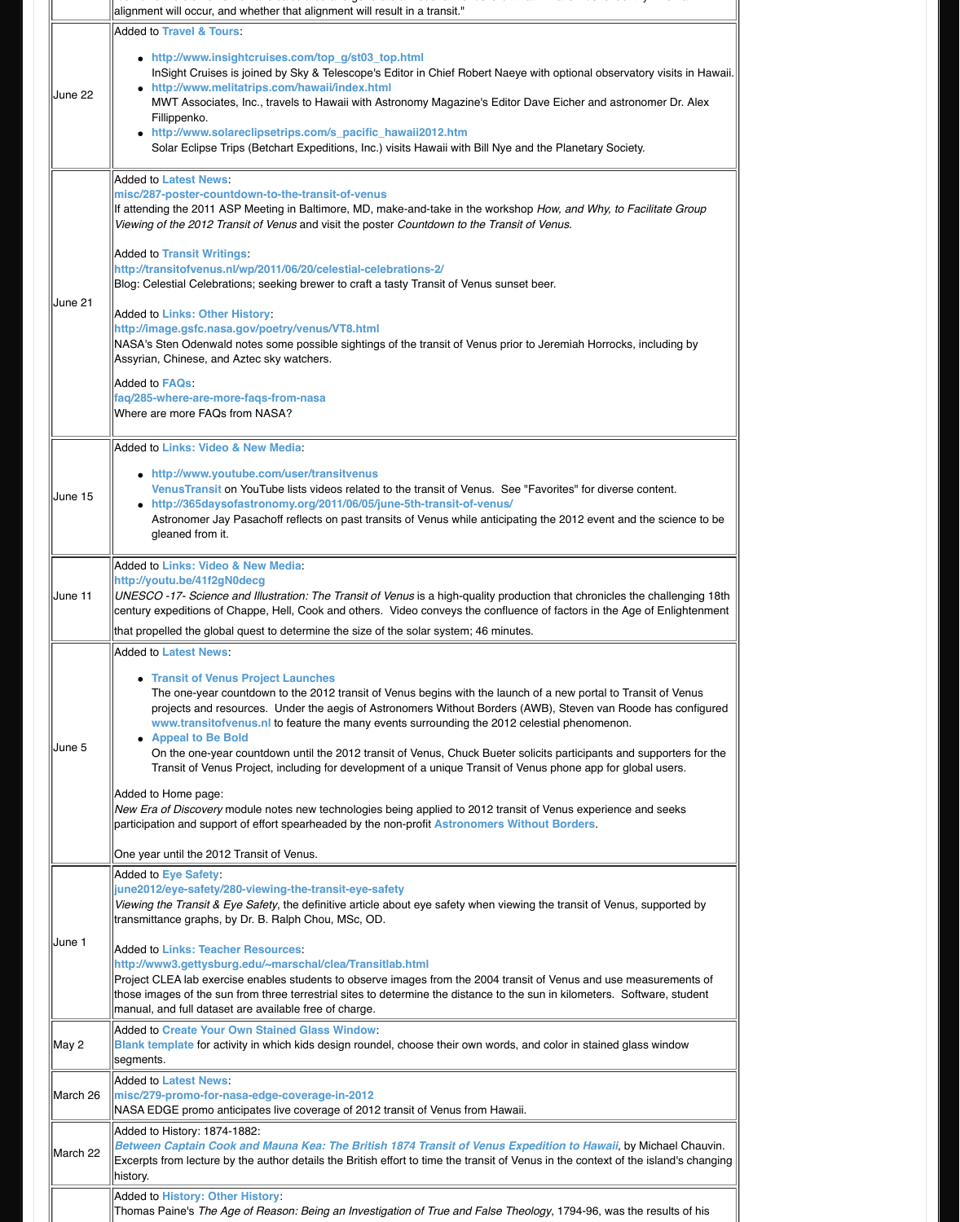| June 15  | Venus Transit on YouTube lists videos related to the transit of Venus. See "Favorites<br>http://365daysofastronomy.org/2011/06/05/june-5th-transit-of-venus/<br>Astronomer Jay Pasachoff reflects on past transits of Venus while anticipating the 20<br>gleaned from it.                                                                                            |
|----------|----------------------------------------------------------------------------------------------------------------------------------------------------------------------------------------------------------------------------------------------------------------------------------------------------------------------------------------------------------------------|
| June 11  | <b>Added to Links: Video &amp; New Media:</b><br>http://youtu.be/41f2gN0decg<br>UNESCO -17- Science and Illustration: The Transit of Venus is a high-quality production that<br>century expeditions of Chappe, Hell, Cook and others. Video conveys the confluence of fact<br>that propelled the global quest to determine the size of the solar system; 46 minutes. |
|          | <b>Added to Latest News:</b><br><b>Transit of Venus Project Launches</b>                                                                                                                                                                                                                                                                                             |
|          | The one-year countdown to the 2012 transit of Venus begins with the launch of a new<br>projects and resources. Under the aegis of Astronomers Without Borders (AWB), Ste<br>www.transitofvenus.nl to feature the many events surrounding the 2012 celestial ph<br><b>Appeal to Be Bold</b>                                                                           |
| June 5   | On the one-year countdown until the 2012 transit of Venus, Chuck Bueter solicits par<br>Transit of Venus Project, including for development of a unique Transit of Venus phor                                                                                                                                                                                        |
|          | Added to Home page:<br>New Era of Discovery module notes new technologies being applied to 2012 transit of Venus<br>participation and support of effort spearheaded by the non-profit Astronomers Without Bord                                                                                                                                                       |
|          | One year until the 2012 Transit of Venus.                                                                                                                                                                                                                                                                                                                            |
|          | <b>Added to Eye Safety:</b><br>june2012/eye-safety/280-viewing-the-transit-eye-safety<br>Viewing the Transit & Eye Safety, the definitive article about eye safety when viewing the tran<br>transmittance graphs, by Dr. B. Ralph Chou, MSc, OD.                                                                                                                     |
| June 1   | <b>Added to Links: Teacher Resources:</b><br>http://www3.gettysburg.edu/~marschal/clea/Transitlab.html<br>Project CLEA lab exercise enables students to observe images from the 2004 transit of Venu<br>those images of the sun from three terrestrial sites to determine the distance to the sun in kild<br>manual, and full dataset are available free of charge.  |
| May 2    | <b>Added to Create Your Own Stained Glass Window:</b><br>Blank template for activity in which kids design roundel, choose their own words, and color<br>segments.                                                                                                                                                                                                    |
| March 26 | <b>Added to Latest News:</b><br>misc/279-promo-for-nasa-edge-coverage-in-2012<br>NASA EDGE promo anticipates live coverage of 2012 transit of Venus from Hawaii.                                                                                                                                                                                                     |
| March 22 | Added to History: 1874-1882:<br>Between Captain Cook and Mauna Kea: The British 1874 Transit of Venus Expedition t<br>Excerpts from lecture by the author details the British effort to time the transit of Venus in the<br>history.                                                                                                                                 |
|          | <b>Added to History: Other History:</b><br>Thomas Paine's The Age of Reason: Being an Investigation of True and False Theology, 179                                                                                                                                                                                                                                  |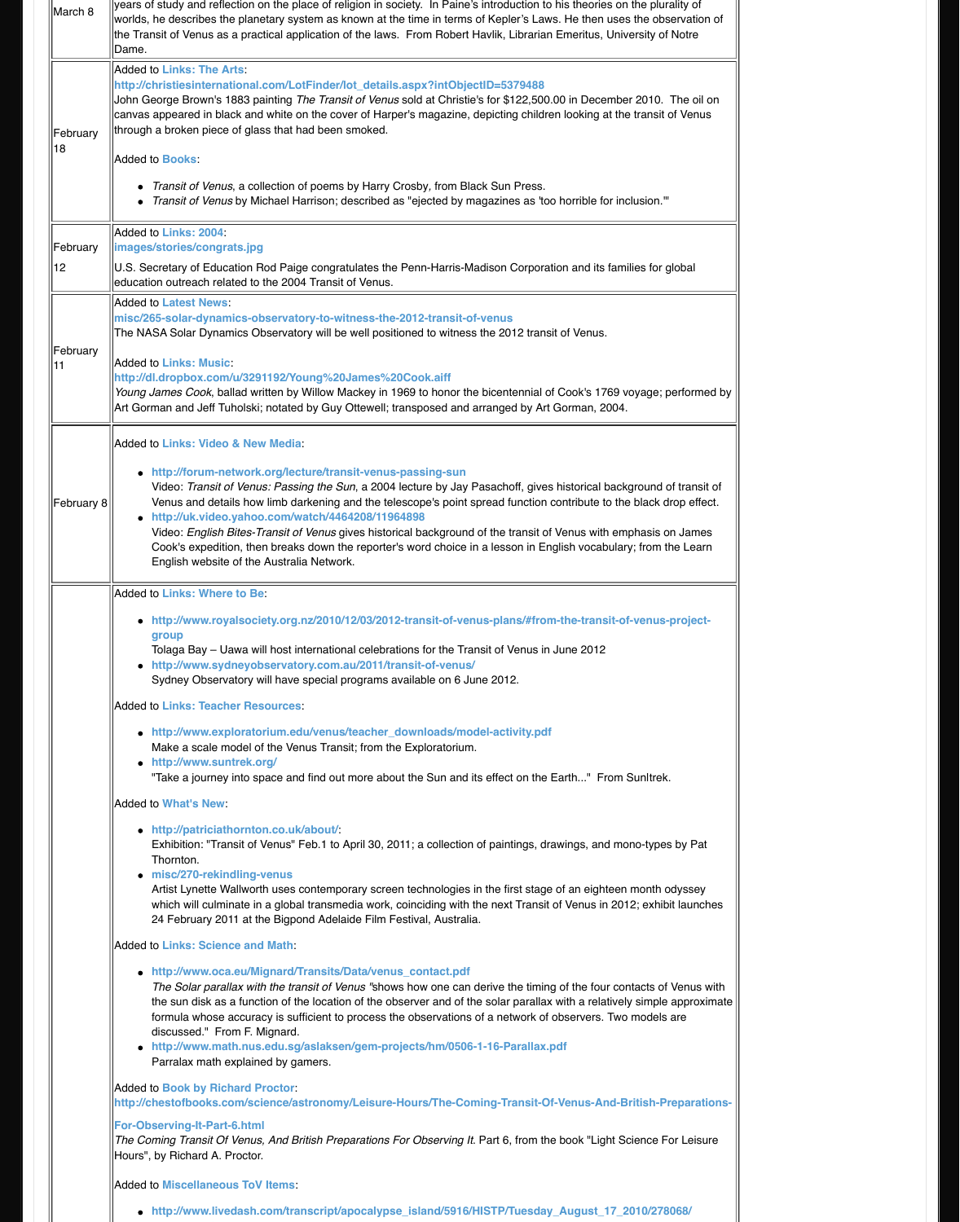| February 8 | Video: Transit of Venus: Passing the Sun, a 2004 lecture by Jay Pasachoff, gives hist<br>Venus and details how limb darkening and the telescope's point spread function contr<br>• http://uk.video.yahoo.com/watch/4464208/11964898<br>Video: English Bites-Transit of Venus gives historical background of the transit of Ven<br>Cook's expedition, then breaks down the reporter's word choice in a lesson in English<br>English website of the Australia Network. |
|------------|----------------------------------------------------------------------------------------------------------------------------------------------------------------------------------------------------------------------------------------------------------------------------------------------------------------------------------------------------------------------------------------------------------------------------------------------------------------------|
|            | Added to Links: Where to Be:                                                                                                                                                                                                                                                                                                                                                                                                                                         |
|            | • http://www.royalsociety.org.nz/2010/12/03/2012-transit-of-venus-plans/#from-the<br>group<br>Tolaga Bay - Uawa will host international celebrations for the Transit of Venus in June<br>• http://www.sydneyobservatory.com.au/2011/transit-of-venus/                                                                                                                                                                                                                |
|            | Sydney Observatory will have special programs available on 6 June 2012.                                                                                                                                                                                                                                                                                                                                                                                              |
|            | Added to Links: Teacher Resources:                                                                                                                                                                                                                                                                                                                                                                                                                                   |
|            | • http://www.exploratorium.edu/venus/teacher_downloads/model-activity.pdf<br>Make a scale model of the Venus Transit; from the Exploratorium.<br>• http://www.suntrek.org/                                                                                                                                                                                                                                                                                           |
|            | "Take a journey into space and find out more about the Sun and its effect on the Eart                                                                                                                                                                                                                                                                                                                                                                                |
|            | Added to What's New:                                                                                                                                                                                                                                                                                                                                                                                                                                                 |
|            | • http://patriciathornton.co.uk/about/<br>Exhibition: "Transit of Venus" Feb.1 to April 30, 2011; a collection of paintings, drawin<br>Thornton.<br>• misc/270-rekindling-venus                                                                                                                                                                                                                                                                                      |
|            | Artist Lynette Wallworth uses contemporary screen technologies in the first stage of a<br>which will culminate in a global transmedia work, coinciding with the next Transit of V<br>24 February 2011 at the Bigpond Adelaide Film Festival, Australia.                                                                                                                                                                                                              |
|            | <b>Added to Links: Science and Math:</b>                                                                                                                                                                                                                                                                                                                                                                                                                             |
|            | • http://www.oca.eu/Mignard/Transits/Data/venus_contact.pdf<br>The Solar parallax with the transit of Venus "shows how one can derive the timing of<br>the sun disk as a function of the location of the observer and of the solar parallax with<br>formula whose accuracy is sufficient to process the observations of a network of obse<br>discussed." From F. Mignard.<br>• http://www.math.nus.edu.sg/aslaksen/gem-projects/hm/0506-1-16-Parallax.pdf            |
|            | Parralax math explained by gamers.                                                                                                                                                                                                                                                                                                                                                                                                                                   |
|            | <b>Added to Book by Richard Proctor:</b><br>http://chestofbooks.com/science/astronomy/Leisure-Hours/The-Coming-Transit-Of-Ver                                                                                                                                                                                                                                                                                                                                        |
|            | <b>For-Observing-It-Part-6.html</b><br>The Coming Transit Of Venus, And British Preparations For Observing It. Part 6, from the bo                                                                                                                                                                                                                                                                                                                                   |
|            | Hours", by Richard A. Proctor.                                                                                                                                                                                                                                                                                                                                                                                                                                       |
|            | <b>Added to Miscellaneous ToV Items:</b>                                                                                                                                                                                                                                                                                                                                                                                                                             |

**•** [http://www.livedash.com/transcript/apocalypse\\_island/5916/HISTP/Tuesday](http://www.exploratorium.edu/venus/teacher_downloads/model-activity.pdf)\_Au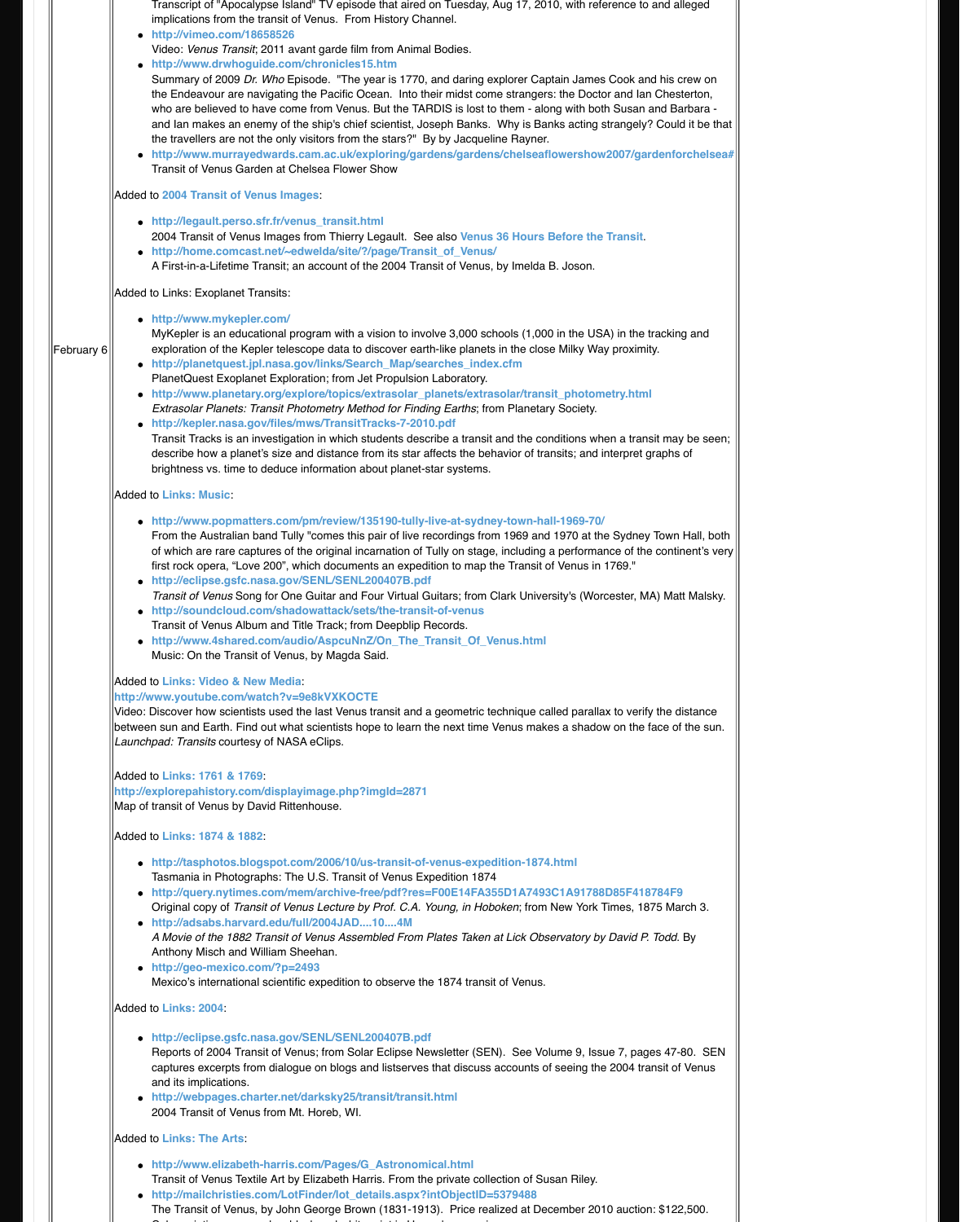Added to **Links: Music**:

- **[http://www.popmatters.com](http://vimeo.com/18658526)/pm/review/135190-tully-live-at-sydney-town-hall-19** From the Australian band Tully "comes this pair of live recordings from 1969 and 197 [of which are rare captures of the original incarnati](http://www.drwhoguide.com/chronicles15.htm)on of Tully on stage, including a per first rock opera, "Love 200", which documents an expedition to map the Transit of Ven
- **http://eclipse.gsfc.nasa.gov/SENL/SENL200407B.pdf** *Transit of Venus* Song for One Guitar and Four Virtual Guitars; from Clark University's
- **http://soundcloud.com/shadowattack/sets/the-transit-of-venus** Transit of Venus Album and Title Track; from Deepblip Records.
- **[http://www.4shared.com/audio/AspcuNnZ/On\\_The\\_Transit\\_Of\\_Venus.html](http://www.murrayedwards.cam.ac.uk/exploring/gardens/gardens/chelseaflowershow2007/gardenforchelsea)** Music: On the Transit of Venus, by Magda Said.

## Added to **[Links: Video & New Media](http://www.transitofvenus.org/history/2004/199-2004-transit-of-venus-images)**:

## **http://[www.youtube.com/watch?v=9e8kVXKOCTE](http://legault.perso.sfr.fr/venus_transit.html)**

Video: Discover how scientists used the last Venus transit and a geometric technique called betwee[n sun and Earth. Find out what scientists hope to learn the next time V](http://home.comcast.net/%7Eedwelda/site/?/page/Transit_of_Venus/)enus makes a *Launchpad: Transits* courtesy of NASA eClips.

Added to **Links: 1761 & 1769**: **http://explorepahistory.com/displayimage.php?imgId=2871** Map of [transit of Venus by David Ri](http://www.mykepler.com/)ttenhouse.

Added to **[Links: 1874 & 1882](http://planetquest.jpl.nasa.gov/links/Search_Map/searches_index.cfm)**:

- http://tasphotos.blogspot.com/2006/10/us-transit-of-venus-expedition-1874.htm [Tasmania in Photographs: The U.S. Transit of Venus Expedition 1874](http://www.planetary.org/explore/topics/extrasolar_planets/extrasolar/transit_photometry.html)
- **http://query.nytimes.com/mem/archive-free/pdf?res=F00E14FA355D1A7493C1A** Original copy of *[Transit of Venus Lecture by Prof. C.A. Young](http://kepler.nasa.gov/files/mws/TransitTracks-7-2010.pdf)*, in Hoboken; from New
- **http://adsabs.harvard.edu/full/2004JAD....10....4M** A Movie of the 1882 Transit of Venus Assembled From Plates Taken at Lick Observa Anthony Misch and William Sheehan.
- **http://geo-mexico.com/?p=2493** M[exico's interna](http://www.transitofvenus.org/education/music/162-links-music)tional scientific expedition to observe the 1874 transit of Venus.

Added to **[Links: 2004](http://www.popmatters.com/pm/review/135190-tully-live-at-sydney-town-hall-1969-70/)**:

**http://eclipse.gsfc.nasa.gov/SENL/SENL200407B.pdf**

Reports of 2004 Transit of Venus; from Solar Eclipse Newsletter (SEN). See Volume [captures excerpts from dialogue on blogs and listserves](http://www.clarku.edu/faculty/mmalsky/composer/transitOfVenus.pdf) that discuss accounts of see and its implications.

**[http://webpages.charter.net/darksky25/transit/transit.html](http://soundcloud.com/shadowattack/sets/the-transit-of-venus)** [2004 Transit of Venus from Mt. Horeb, WI.](http://www.4shared.com/audio/AspcuNnZ/On_The_Transit_Of_Venus.html)

Added to **Links: The Arts**:

- **h[ttp://www.elizabeth-harris.c](http://www.transitofvenus.org/education/video-new-media/163-links-video-new-media)om/Pages/G\_Astronomical.html** [Transit of Venus Textile Art by Elizabeth Harris](http://www.youtube.com/watch?v=9e8kVXKOCTE). From the private collection of Susan I
- **http://mailchristies.com/LotFinder/lot\_details.aspx?intObjectID=5379488** The Transit of Venus, by John George Brown (1831-1913). Price realized at Decemb Color painting appeared as black and white print in Harper's magazine.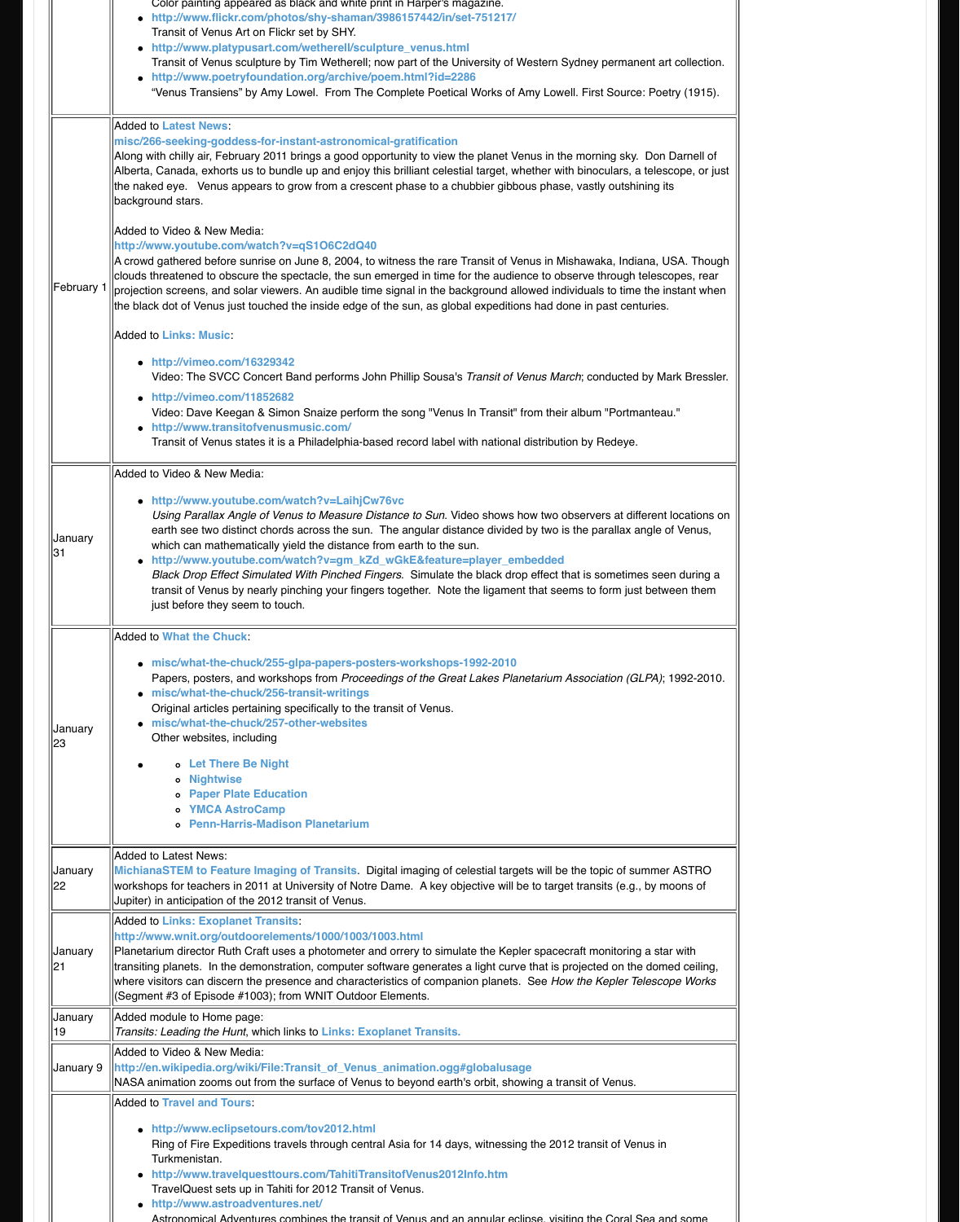| January<br>31  | • http://www.youtube.com/watch?v=LaihjCw76vc<br>Using Parallax Angle of Venus to Measure Distance to Sun. Video shows how two ob<br>earth see two distinct chords across the sun. The angular distance divided by two is<br>which can mathematically yield the distance from earth to the sun.<br>http://www.youtube.com/watch?v=gm_kZd_wGkE&feature=player_embedded<br>Black Drop Effect Simulated With Pinched Fingers. Simulate the black drop effect that<br>transit of Venus by nearly pinching your fingers together. Note the ligament that seen<br>just before they seem to touch. |
|----------------|--------------------------------------------------------------------------------------------------------------------------------------------------------------------------------------------------------------------------------------------------------------------------------------------------------------------------------------------------------------------------------------------------------------------------------------------------------------------------------------------------------------------------------------------------------------------------------------------|
|                | <b>Added to What the Chuck</b>                                                                                                                                                                                                                                                                                                                                                                                                                                                                                                                                                             |
| January<br>23  | • misc/what-the-chuck/255-glpa-papers-posters-workshops-1992-2010<br>Papers, posters, and workshops from Proceedings of the Great Lakes Planetarium A<br>• misc/what-the-chuck/256-transit-writings<br>Original articles pertaining specifically to the transit of Venus.<br>misc/what-the-chuck/257-other-websites<br>Other websites, including<br>o Let There Be Night<br><b>Nightwise</b><br>$\circ$                                                                                                                                                                                    |
|                | <b>Paper Plate Education</b><br>o YMCA AstroCamp<br><b>Penn-Harris-Madison Planetarium</b>                                                                                                                                                                                                                                                                                                                                                                                                                                                                                                 |
| January<br> 22 | Added to Latest News:<br>MichianaSTEM to Feature Imaging of Transits. Digital imaging of celestial targets will be<br>workshops for teachers in 2011 at University of Notre Dame. A key objective will be to target<br>Jupiter) in anticipation of the 2012 transit of Venus.                                                                                                                                                                                                                                                                                                              |
| January<br>21  | <b>Added to Links: Exoplanet Transits:</b><br>http://www.wnit.org/outdoorelements/1000/1003/1003.html<br>Planetarium director Ruth Craft uses a photometer and orrery to simulate the Kepler spacecr<br>transiting planets. In the demonstration, computer software generates a light curve that is pr<br>where visitors can discern the presence and characteristics of companion planets. See How<br>(Segment #3 of Episode #1003); from WNIT Outdoor Elements.                                                                                                                          |
| January<br>19  | Added module to Home page:<br>Transits: Leading the Hunt, which links to Links: Exoplanet Transits.                                                                                                                                                                                                                                                                                                                                                                                                                                                                                        |
| January 9      | Added to Video & New Media:<br>http://en.wikipedia.org/wiki/File:Transit_of_Venus_animation.ogg#globalusage<br>NASA animation zooms out from the surface of Venus to beyond earth's orbit, showing a tran                                                                                                                                                                                                                                                                                                                                                                                  |
|                | <b>Added to Travel and Tours:</b><br>• http://www.eclipsetours.com/tov2012.html<br>Ring of Fire Expeditions travels through central Asia for 14 days, witnessing the 2012<br>Turkmenistan.<br>• http://www.travelquesttours.com/TahitiTransitofVenus2012Info.htm<br>TravelQuest sets up in Tahiti for 2012 Transit of Venus.                                                                                                                                                                                                                                                               |